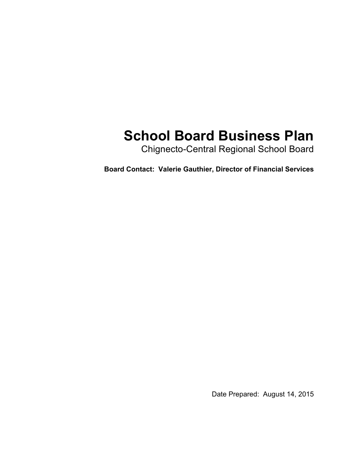# **School Board Business Plan**

Chignecto-Central Regional School Board

**Board Contact: Valerie Gauthier, Director of Financial Services**

Date Prepared: August 14, 2015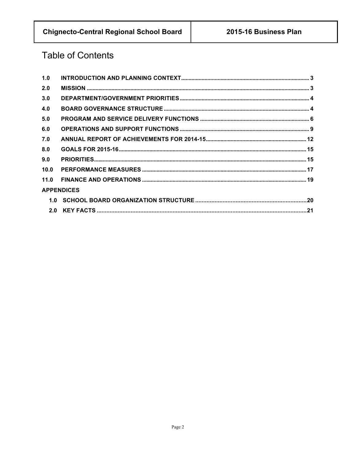# **Table of Contents**

| 1.0  |                   |  |
|------|-------------------|--|
| 2.0  |                   |  |
| 3.0  |                   |  |
| 4.0  |                   |  |
| 5.0  |                   |  |
| 6.0  |                   |  |
| 7.0  |                   |  |
| 8.0  |                   |  |
| 9.0  |                   |  |
| 10.0 |                   |  |
| 11.0 |                   |  |
|      | <b>APPENDICES</b> |  |
|      |                   |  |
|      |                   |  |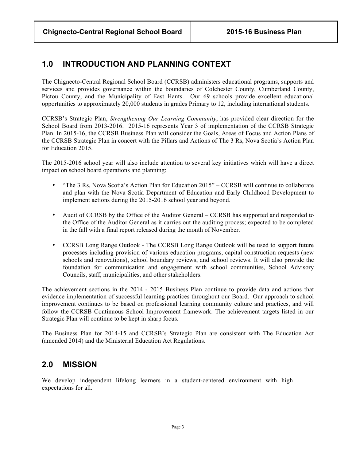### **1.0 INTRODUCTION AND PLANNING CONTEXT**

The Chignecto-Central Regional School Board (CCRSB) administers educational programs, supports and services and provides governance within the boundaries of Colchester County, Cumberland County, Pictou County, and the Municipality of East Hants. Our 69 schools provide excellent educational opportunities to approximately 20,000 students in grades Primary to 12, including international students.

CCRSB's Strategic Plan, *Strengthening Our Learning Community*, has provided clear direction for the School Board from 2013-2016. 2015-16 represents Year 3 of implementation of the CCRSB Strategic Plan. In 2015-16, the CCRSB Business Plan will consider the Goals, Areas of Focus and Action Plans of the CCRSB Strategic Plan in concert with the Pillars and Actions of The 3 Rs, Nova Scotia's Action Plan for Education 2015.

The 2015-2016 school year will also include attention to several key initiatives which will have a direct impact on school board operations and planning:

- "The 3 Rs, Nova Scotia's Action Plan for Education 2015" CCRSB will continue to collaborate and plan with the Nova Scotia Department of Education and Early Childhood Development to implement actions during the 2015-2016 school year and beyond.
- Audit of CCRSB by the Office of the Auditor General CCRSB has supported and responded to the Office of the Auditor General as it carries out the auditing process; expected to be completed in the fall with a final report released during the month of November.
- CCRSB Long Range Outlook The CCRSB Long Range Outlook will be used to support future processes including provision of various education programs, capital construction requests (new schools and renovations), school boundary reviews, and school reviews. It will also provide the foundation for communication and engagement with school communities, School Advisory Councils, staff, municipalities, and other stakeholders.

The achievement sections in the 2014 - 2015 Business Plan continue to provide data and actions that evidence implementation of successful learning practices throughout our Board. Our approach to school improvement continues to be based on professional learning community culture and practices, and will follow the CCRSB Continuous School Improvement framework. The achievement targets listed in our Strategic Plan will continue to be kept in sharp focus.

The Business Plan for 2014-15 and CCRSB's Strategic Plan are consistent with The Education Act (amended 2014) and the Ministerial Education Act Regulations.

### **2.0 MISSION**

We develop independent lifelong learners in a student-centered environment with high expectations for all.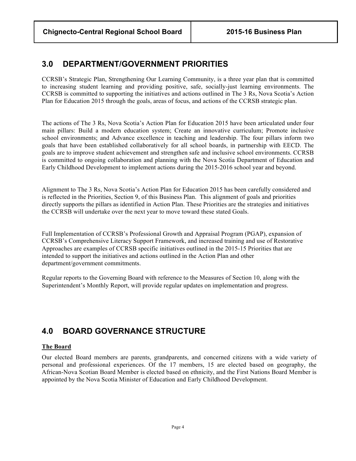### **3.0 DEPARTMENT/GOVERNMENT PRIORITIES**

CCRSB's Strategic Plan, Strengthening Our Learning Community, is a three year plan that is committed to increasing student learning and providing positive, safe, socially-just learning environments. The CCRSB is committed to supporting the initiatives and actions outlined in The 3 Rs, Nova Scotia's Action Plan for Education 2015 through the goals, areas of focus, and actions of the CCRSB strategic plan.

The actions of The 3 Rs, Nova Scotia's Action Plan for Education 2015 have been articulated under four main pillars: Build a modern education system; Create an innovative curriculum; Promote inclusive school environments; and Advance excellence in teaching and leadership. The four pillars inform two goals that have been established collaboratively for all school boards, in partnership with EECD. The goals are to improve student achievement and strengthen safe and inclusive school environments. CCRSB is committed to ongoing collaboration and planning with the Nova Scotia Department of Education and Early Childhood Development to implement actions during the 2015-2016 school year and beyond.

Alignment to The 3 Rs, Nova Scotia's Action Plan for Education 2015 has been carefully considered and is reflected in the Priorities, Section 9, of this Business Plan. This alignment of goals and priorities directly supports the pillars as identified in Action Plan. These Priorities are the strategies and initiatives the CCRSB will undertake over the next year to move toward these stated Goals.

Full Implementation of CCRSB's Professional Growth and Appraisal Program (PGAP), expansion of CCRSB's Comprehensive Literacy Support Framework, and increased training and use of Restorative Approaches are examples of CCRSB specific initiatives outlined in the 2015-15 Priorities that are intended to support the initiatives and actions outlined in the Action Plan and other department/government commitments.

Regular reports to the Governing Board with reference to the Measures of Section 10, along with the Superintendent's Monthly Report, will provide regular updates on implementation and progress.

## **4.0 BOARD GOVERNANCE STRUCTURE**

#### **The Board**

Our elected Board members are parents, grandparents, and concerned citizens with a wide variety of personal and professional experiences. Of the 17 members, 15 are elected based on geography, the African-Nova Scotian Board Member is elected based on ethnicity, and the First Nations Board Member is appointed by the Nova Scotia Minister of Education and Early Childhood Development.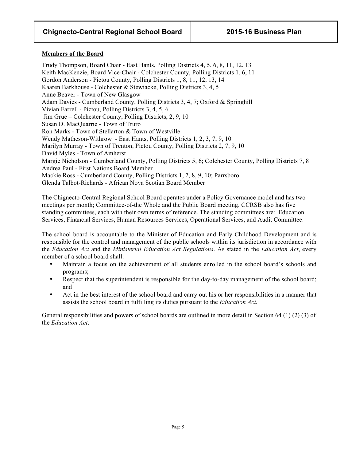#### **Members of the Board**

Trudy Thompson, Board Chair - East Hants, Polling Districts 4, 5, 6, 8, 11, 12, 13 Keith MacKenzie, Board Vice-Chair - Colchester County, Polling Districts 1, 6, 11 Gordon Anderson - Pictou County, Polling Districts 1, 8, 11, 12, 13, 14 Kaaren Barkhouse - Colchester & Stewiacke, Polling Districts 3, 4, 5 Anne Beaver - Town of New Glasgow Adam Davies - Cumberland County, Polling Districts 3, 4, 7; Oxford & Springhill Vivian Farrell - Pictou, Polling Districts 3, 4, 5, 6 Jim Grue – Colchester County, Polling Districts, 2, 9, 10 Susan D. MacQuarrie - Town of Truro Ron Marks - Town of Stellarton & Town of Westville Wendy Matheson-Withrow - East Hants, Polling Districts 1, 2, 3, 7, 9, 10 Marilyn Murray - Town of Trenton, Pictou County, Polling Districts 2, 7, 9, 10 David Myles - Town of Amherst Margie Nicholson - Cumberland County, Polling Districts 5, 6; Colchester County, Polling Districts 7, 8 Andrea Paul - First Nations Board Member Mackie Ross - Cumberland County, Polling Districts 1, 2, 8, 9, 10; Parrsboro Glenda Talbot-Richards - African Nova Scotian Board Member

The Chignecto-Central Regional School Board operates under a Policy Governance model and has two meetings per month; Committee-of-the Whole and the Public Board meeting. CCRSB also has five standing committees, each with their own terms of reference. The standing committees are: Education Services, Financial Services, Human Resources Services, Operational Services, and Audit Committee.

The school board is accountable to the Minister of Education and Early Childhood Development and is responsible for the control and management of the public schools within its jurisdiction in accordance with the *Education Act* and the *Ministerial Education Act Regulations*. As stated in the *Education Act*, every member of a school board shall:

- Maintain a focus on the achievement of all students enrolled in the school board's schools and programs;
- Respect that the superintendent is responsible for the day-to-day management of the school board; and
- Act in the best interest of the school board and carry out his or her responsibilities in a manner that assists the school board in fulfilling its duties pursuant to the *Education Act.*

General responsibilities and powers of school boards are outlined in more detail in Section 64 (1) (2) (3) of the *Education Act*.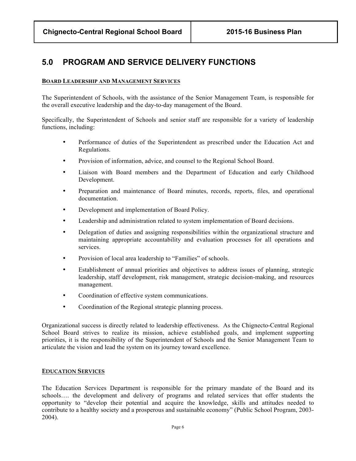### **5.0 PROGRAM AND SERVICE DELIVERY FUNCTIONS**

#### **BOARD LEADERSHIP AND MANAGEMENT SERVICES**

The Superintendent of Schools, with the assistance of the Senior Management Team, is responsible for the overall executive leadership and the day-to-day management of the Board.

Specifically, the Superintendent of Schools and senior staff are responsible for a variety of leadership functions, including:

- Performance of duties of the Superintendent as prescribed under the Education Act and Regulations.
- Provision of information, advice, and counsel to the Regional School Board.
- Liaison with Board members and the Department of Education and early Childhood Development.
- Preparation and maintenance of Board minutes, records, reports, files, and operational documentation.
- Development and implementation of Board Policy.
- Leadership and administration related to system implementation of Board decisions.
- Delegation of duties and assigning responsibilities within the organizational structure and maintaining appropriate accountability and evaluation processes for all operations and services.
- Provision of local area leadership to "Families" of schools.
- Establishment of annual priorities and objectives to address issues of planning, strategic leadership, staff development, risk management, strategic decision-making, and resources management.
- Coordination of effective system communications.
- Coordination of the Regional strategic planning process.

Organizational success is directly related to leadership effectiveness. As the Chignecto-Central Regional School Board strives to realize its mission, achieve established goals, and implement supporting priorities, it is the responsibility of the Superintendent of Schools and the Senior Management Team to articulate the vision and lead the system on its journey toward excellence.

#### **EDUCATION SERVICES**

The Education Services Department is responsible for the primary mandate of the Board and its schools…. the development and delivery of programs and related services that offer students the opportunity to "develop their potential and acquire the knowledge, skills and attitudes needed to contribute to a healthy society and a prosperous and sustainable economy" (Public School Program, 2003- 2004).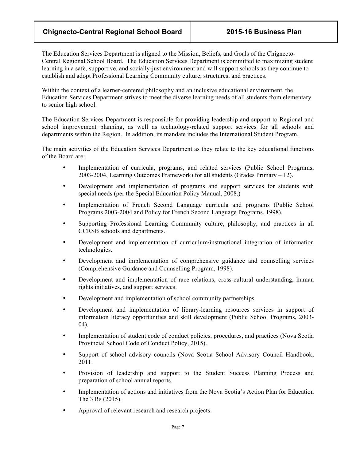### **Chignecto-Central Regional School Board 2015-16 Business Plan**

The Education Services Department is aligned to the Mission, Beliefs, and Goals of the Chignecto-Central Regional School Board. The Education Services Department is committed to maximizing student learning in a safe, supportive, and socially-just environment and will support schools as they continue to establish and adopt Professional Learning Community culture, structures, and practices.

Within the context of a learner-centered philosophy and an inclusive educational environment, the Education Services Department strives to meet the diverse learning needs of all students from elementary to senior high school.

The Education Services Department is responsible for providing leadership and support to Regional and school improvement planning, as well as technology-related support services for all schools and departments within the Region. In addition, its mandate includes the International Student Program.

The main activities of the Education Services Department as they relate to the key educational functions of the Board are:

- Implementation of curricula, programs, and related services (Public School Programs, 2003-2004, Learning Outcomes Framework) for all students (Grades Primary – 12).
- Development and implementation of programs and support services for students with special needs (per the Special Education Policy Manual, 2008.)
- Implementation of French Second Language curricula and programs (Public School Programs 2003-2004 and Policy for French Second Language Programs, 1998).
- Supporting Professional Learning Community culture, philosophy, and practices in all CCRSB schools and departments.
- Development and implementation of curriculum/instructional integration of information technologies.
- Development and implementation of comprehensive guidance and counselling services (Comprehensive Guidance and Counselling Program, 1998).
- Development and implementation of race relations, cross-cultural understanding, human rights initiatives, and support services.
- Development and implementation of school community partnerships.
- Development and implementation of library-learning resources services in support of information literacy opportunities and skill development (Public School Programs, 2003- 04).
- Implementation of student code of conduct policies, procedures, and practices (Nova Scotia Provincial School Code of Conduct Policy, 2015).
- Support of school advisory councils (Nova Scotia School Advisory Council Handbook, 2011.
- Provision of leadership and support to the Student Success Planning Process and preparation of school annual reports.
- Implementation of actions and initiatives from the Nova Scotia's Action Plan for Education The 3 Rs (2015).
- Approval of relevant research and research projects.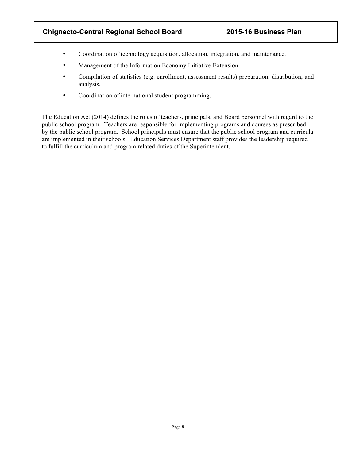- Coordination of technology acquisition, allocation, integration, and maintenance.
- Management of the Information Economy Initiative Extension.
- Compilation of statistics (e.g. enrollment, assessment results) preparation, distribution, and analysis.
- Coordination of international student programming.

The Education Act (2014) defines the roles of teachers, principals, and Board personnel with regard to the public school program. Teachers are responsible for implementing programs and courses as prescribed by the public school program. School principals must ensure that the public school program and curricula are implemented in their schools. Education Services Department staff provides the leadership required to fulfill the curriculum and program related duties of the Superintendent.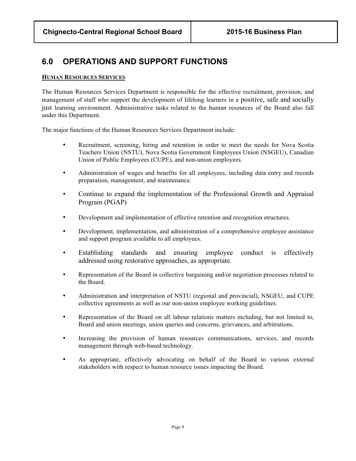### **6.0 OPERATIONS AND SUPPORT FUNCTIONS**

#### **HUMAN RESOURCES SERVICES**

The Human Resources Services Department is responsible for the effective recruitment, provision, and management of staff who support the development of lifelong learners in a positive, safe and socially just learning environment. Administrative tasks related to the human resources of the Board also fall under this Department.

The major functions of the Human Resources Services Department include:

- Recruitment, screening, hiring and retention in order to meet the needs for Nova Scotia Teachers Union (NSTU), Nova Scotia Government Employees Union (NSGEU), Canadian Union of Public Employees (CUPE), and non-union employees.
- Administration of wages and benefits for all employees, including data entry and records preparation, management, and maintenance.
- Continue to expand the implementation of the Professional Growth and Appraisal Program (PGAP)
- Development and implementation of effective retention and recognition structures.
- Development, implementation, and administration of a comprehensive employee assistance and support program available to all employees.
- Establishing standards and ensuring employee conduct is effectively addressed using restorative approaches, as appropriate.
- Representation of the Board in collective bargaining and/or negotiation processes related to the Board.
- Administration and interpretation of NSTU (regional and provincial), NSGEU, and CUPE collective agreements as well as our non-union employee working guidelines.
- Representation of the Board on all labour relations matters including, but not limited to, Board and union meetings, union queries and concerns, grievances, and arbitrations.
- Increasing the provision of human resources communications, services, and records management through web-based technology.
- As appropriate, effectively advocating on behalf of the Board to various external stakeholders with respect to human resource issues impacting the Board.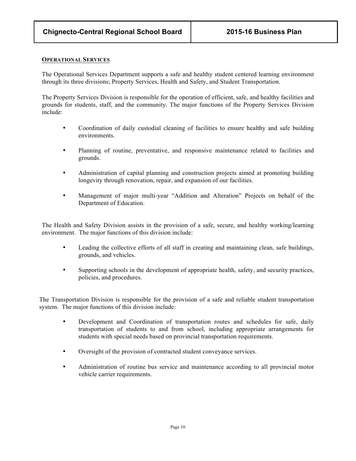#### **OPERATIONAL SERVICES**

The Operational Services Department supports a safe and healthy student centered learning environment through its three divisions; Property Services, Health and Safety, and Student Transportation.

The Property Services Division is responsible for the operation of efficient, safe, and healthy facilities and grounds for students, staff, and the community. The major functions of the Property Services Division include:

- Coordination of daily custodial cleaning of facilities to ensure healthy and safe building environments.
- Planning of routine, preventative, and responsive maintenance related to facilities and grounds.
- Administration of capital planning and construction projects aimed at promoting building longevity through renovation, repair, and expansion of our facilities.
- Management of major multi-year "Addition and Alteration" Projects on behalf of the Department of Education.

The Health and Safety Division assists in the provision of a safe, secure, and healthy working/learning environment. The major functions of this division include:

- Leading the collective efforts of all staff in creating and maintaining clean, safe buildings, grounds, and vehicles.
- Supporting schools in the development of appropriate health, safety, and security practices, policies, and procedures.

The Transportation Division is responsible for the provision of a safe and reliable student transportation system. The major functions of this division include:

- Development and Coordination of transportation routes and schedules for safe, daily transportation of students to and from school, including appropriate arrangements for students with special needs based on provincial transportation requirements.
- Oversight of the provision of contracted student conveyance services.
- Administration of routine bus service and maintenance according to all provincial motor vehicle carrier requirements.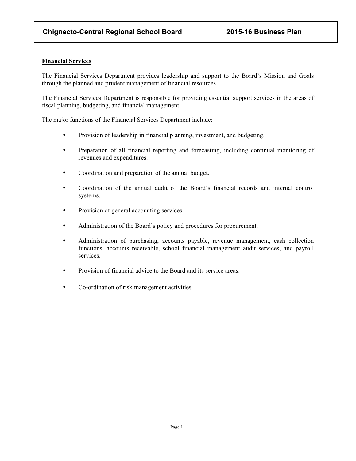#### **Financial Services**

The Financial Services Department provides leadership and support to the Board's Mission and Goals through the planned and prudent management of financial resources.

The Financial Services Department is responsible for providing essential support services in the areas of fiscal planning, budgeting, and financial management.

The major functions of the Financial Services Department include:

- Provision of leadership in financial planning, investment, and budgeting.
- Preparation of all financial reporting and forecasting, including continual monitoring of revenues and expenditures.
- Coordination and preparation of the annual budget.
- Coordination of the annual audit of the Board's financial records and internal control systems.
- Provision of general accounting services.
- Administration of the Board's policy and procedures for procurement.
- Administration of purchasing, accounts payable, revenue management, cash collection functions, accounts receivable, school financial management audit services, and payroll services.
- Provision of financial advice to the Board and its service areas.
- Co-ordination of risk management activities.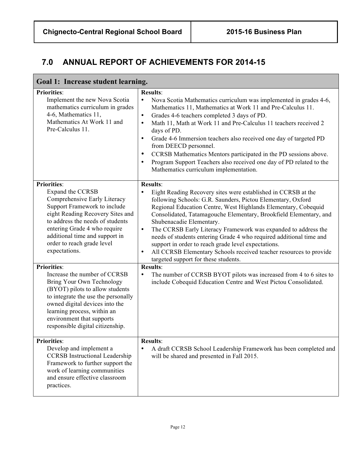# **7.0 ANNUAL REPORT OF ACHIEVEMENTS FOR 2014-15**

| Goal 1: Increase student learning.                                                                                                                                                                                                                                                              |                                                                                                                                                                                                                                                                                                                                                                                                                                                                                                                                                                                                                                                                         |  |  |
|-------------------------------------------------------------------------------------------------------------------------------------------------------------------------------------------------------------------------------------------------------------------------------------------------|-------------------------------------------------------------------------------------------------------------------------------------------------------------------------------------------------------------------------------------------------------------------------------------------------------------------------------------------------------------------------------------------------------------------------------------------------------------------------------------------------------------------------------------------------------------------------------------------------------------------------------------------------------------------------|--|--|
| <b>Priorities:</b><br>Implement the new Nova Scotia<br>mathematics curriculum in grades<br>4-6, Mathematics 11,<br>Mathematics At Work 11 and<br>Pre-Calculus 11.                                                                                                                               | <b>Results:</b><br>Nova Scotia Mathematics curriculum was implemented in grades 4-6,<br>$\bullet$<br>Mathematics 11, Mathematics at Work 11 and Pre-Calculus 11.<br>Grades 4-6 teachers completed 3 days of PD.<br>$\bullet$<br>Math 11, Math at Work 11 and Pre-Calculus 11 teachers received 2<br>$\bullet$<br>days of PD.<br>Grade 4-6 Immersion teachers also received one day of targeted PD<br>$\bullet$<br>from DEECD personnel.<br>CCRSB Mathematics Mentors participated in the PD sessions above.<br>Program Support Teachers also received one day of PD related to the<br>Mathematics curriculum implementation.                                            |  |  |
| <b>Priorities:</b><br>Expand the CCRSB<br>Comprehensive Early Literacy<br>Support Framework to include<br>eight Reading Recovery Sites and<br>to address the needs of students<br>entering Grade 4 who require<br>additional time and support in<br>order to reach grade level<br>expectations. | <b>Results:</b><br>Eight Reading Recovery sites were established in CCRSB at the<br>$\bullet$<br>following Schools: G.R. Saunders, Pictou Elementary, Oxford<br>Regional Education Centre, West Highlands Elementary, Cobequid<br>Consolidated, Tatamagouche Elementary, Brookfield Elementary, and<br>Shubenacadie Elementary.<br>The CCRSB Early Literacy Framework was expanded to address the<br>$\bullet$<br>needs of students entering Grade 4 who required additional time and<br>support in order to reach grade level expectations.<br>All CCRSB Elementary Schools received teacher resources to provide<br>$\bullet$<br>targeted support for these students. |  |  |
| <b>Priorities:</b><br>Increase the number of CCRSB<br>Bring Your Own Technology<br>(BYOT) pilots to allow students<br>to integrate the use the personally<br>owned digital devices into the<br>learning process, within an<br>environment that supports<br>responsible digital citizenship.     | Results:<br>The number of CCRSB BYOT pilots was increased from 4 to 6 sites to<br>$\bullet$<br>include Cobequid Education Centre and West Pictou Consolidated.                                                                                                                                                                                                                                                                                                                                                                                                                                                                                                          |  |  |
| <b>Priorities:</b><br>Develop and implement a<br><b>CCRSB</b> Instructional Leadership<br>Framework to further support the<br>work of learning communities<br>and ensure effective classroom<br>practices.                                                                                      | <b>Results:</b><br>A draft CCRSB School Leadership Framework has been completed and<br>$\bullet$<br>will be shared and presented in Fall 2015.                                                                                                                                                                                                                                                                                                                                                                                                                                                                                                                          |  |  |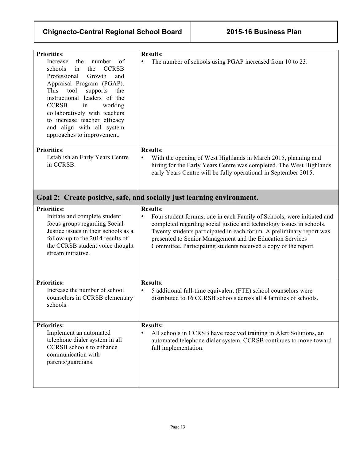| <b>Priorities:</b><br>Increase<br>the<br>number<br>of<br><b>CCRSB</b><br>schools<br>the<br>in<br>Professional<br>Growth<br>and<br>Appraisal Program (PGAP).<br>This<br>supports<br>tool<br>the<br>instructional leaders of the<br><b>CCRSB</b><br>working<br>in<br>collaboratively with teachers<br>to increase teacher efficacy<br>and align with all system<br>approaches to improvement. | <b>Results:</b><br>The number of schools using PGAP increased from 10 to 23.<br>$\bullet$                                                                                                                                                                                                                                                                                               |
|---------------------------------------------------------------------------------------------------------------------------------------------------------------------------------------------------------------------------------------------------------------------------------------------------------------------------------------------------------------------------------------------|-----------------------------------------------------------------------------------------------------------------------------------------------------------------------------------------------------------------------------------------------------------------------------------------------------------------------------------------------------------------------------------------|
| <b>Priorities:</b><br>Establish an Early Years Centre<br>in CCRSB.                                                                                                                                                                                                                                                                                                                          | <b>Results:</b><br>With the opening of West Highlands in March 2015, planning and<br>$\bullet$<br>hiring for the Early Years Centre was completed. The West Highlands<br>early Years Centre will be fully operational in September 2015.                                                                                                                                                |
|                                                                                                                                                                                                                                                                                                                                                                                             | Goal 2: Create positive, safe, and socially just learning environment.                                                                                                                                                                                                                                                                                                                  |
| <b>Priorities:</b><br>Initiate and complete student<br>focus groups regarding Social<br>Justice issues in their schools as a<br>follow-up to the 2014 results of<br>the CCRSB student voice thought<br>stream initiative.                                                                                                                                                                   | <b>Results:</b><br>Four student forums, one in each Family of Schools, were initiated and<br>$\bullet$<br>completed regarding social justice and technology issues in schools.<br>Twenty students participated in each forum. A preliminary report was<br>presented to Senior Management and the Education Services<br>Committee. Participating students received a copy of the report. |
| <b>Priorities:</b><br>Increase the number of school<br>counselors in CCRSB elementary<br>schools.                                                                                                                                                                                                                                                                                           | <b>Results:</b><br>5 additional full-time equivalent (FTE) school counselors were<br>$\bullet$<br>distributed to 16 CCRSB schools across all 4 families of schools.                                                                                                                                                                                                                     |
| <b>Priorities:</b><br>Implement an automated<br>telephone dialer system in all<br><b>CCRSB</b> schools to enhance<br>communication with<br>parents/guardians.                                                                                                                                                                                                                               | <b>Results:</b><br>All schools in CCRSB have received training in Alert Solutions, an<br>automated telephone dialer system. CCRSB continues to move toward<br>full implementation.                                                                                                                                                                                                      |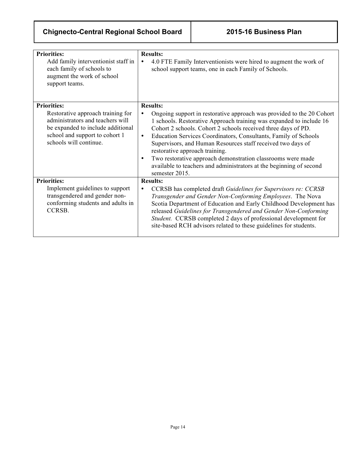# **Chignecto-Central Regional School Board 2015-16 Business Plan**

| <b>Priorities:</b><br>Add family interventionist staff in<br>each family of schools to<br>augment the work of school<br>support teams.                                                       | <b>Results:</b><br>4.0 FTE Family Interventionists were hired to augment the work of<br>$\bullet$<br>school support teams, one in each Family of Schools.                                                                                                                                                                                                                                                                                                                                                                                                                              |
|----------------------------------------------------------------------------------------------------------------------------------------------------------------------------------------------|----------------------------------------------------------------------------------------------------------------------------------------------------------------------------------------------------------------------------------------------------------------------------------------------------------------------------------------------------------------------------------------------------------------------------------------------------------------------------------------------------------------------------------------------------------------------------------------|
|                                                                                                                                                                                              |                                                                                                                                                                                                                                                                                                                                                                                                                                                                                                                                                                                        |
| <b>Priorities:</b><br>Restorative approach training for<br>administrators and teachers will<br>be expanded to include additional<br>school and support to cohort 1<br>schools will continue. | <b>Results:</b><br>Ongoing support in restorative approach was provided to the 20 Cohort<br>1 schools. Restorative Approach training was expanded to include 16<br>Cohort 2 schools. Cohort 2 schools received three days of PD.<br>Education Services Coordinators, Consultants, Family of Schools<br>$\bullet$<br>Supervisors, and Human Resources staff received two days of<br>restorative approach training.<br>Two restorative approach demonstration classrooms were made<br>$\bullet$<br>available to teachers and administrators at the beginning of second<br>semester 2015. |
| <b>Priorities:</b>                                                                                                                                                                           | <b>Results:</b>                                                                                                                                                                                                                                                                                                                                                                                                                                                                                                                                                                        |
| Implement guidelines to support<br>transgendered and gender non-<br>conforming students and adults in<br>CCRSB.                                                                              | CCRSB has completed draft Guidelines for Supervisors re: CCRSB<br>Transgender and Gender Non-Conforming Employees. The Nova<br>Scotia Department of Education and Early Childhood Development has<br>released Guidelines for Transgendered and Gender Non-Conforming<br>Student. CCRSB completed 2 days of professional development for<br>site-based RCH advisors related to these guidelines for students.                                                                                                                                                                           |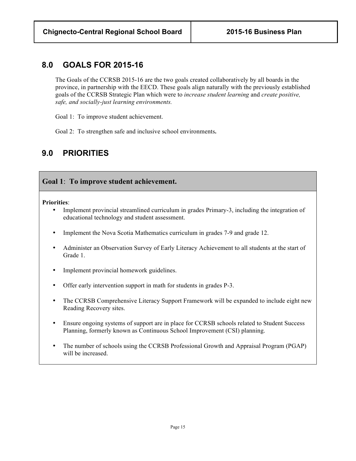### **8.0 GOALS FOR 2015-16**

The Goals of the CCRSB 2015-16 are the two goals created collaboratively by all boards in the province, in partnership with the EECD. These goals align naturally with the previously established goals of the CCRSB Strategic Plan which were to *increase student learning* and *create positive, safe, and socially-just learning environments.*

Goal 1: To improve student achievement.

Goal 2: To strengthen safe and inclusive school environments**.**

# **9.0 PRIORITIES**

### **Goal 1**: **To improve student achievement.**

**Priorities**:

- Implement provincial streamlined curriculum in grades Primary-3, including the integration of educational technology and student assessment.
- Implement the Nova Scotia Mathematics curriculum in grades 7-9 and grade 12.
- Administer an Observation Survey of Early Literacy Achievement to all students at the start of Grade 1.
- Implement provincial homework guidelines.
- Offer early intervention support in math for students in grades P-3.
- The CCRSB Comprehensive Literacy Support Framework will be expanded to include eight new Reading Recovery sites.
- Ensure ongoing systems of support are in place for CCRSB schools related to Student Success Planning, formerly known as Continuous School Improvement (CSI) planning.
- The number of schools using the CCRSB Professional Growth and Appraisal Program (PGAP) will be increased.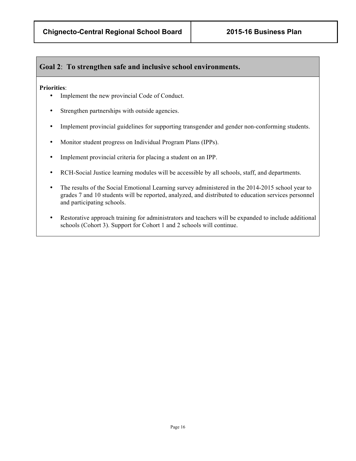### **Goal 2**: **To strengthen safe and inclusive school environments.**

#### **Priorities**:

- Implement the new provincial Code of Conduct.
- Strengthen partnerships with outside agencies.
- Implement provincial guidelines for supporting transgender and gender non-conforming students.
- Monitor student progress on Individual Program Plans (IPPs).
- Implement provincial criteria for placing a student on an IPP.
- RCH-Social Justice learning modules will be accessible by all schools, staff, and departments.
- The results of the Social Emotional Learning survey administered in the 2014-2015 school year to grades 7 and 10 students will be reported, analyzed, and distributed to education services personnel and participating schools.
- Restorative approach training for administrators and teachers will be expanded to include additional schools (Cohort 3). Support for Cohort 1 and 2 schools will continue.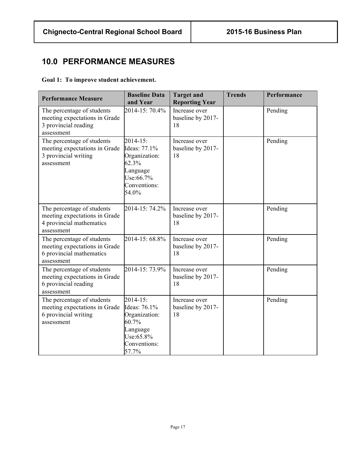## **10.0 PERFORMANCE MEASURES**

### **Goal 1: To improve student achievement.**

| <b>Performance Measure</b>                                                                            | <b>Baseline Data</b><br>and Year                                                                          | <b>Target and</b><br><b>Reporting Year</b> | <b>Trends</b> | Performance |
|-------------------------------------------------------------------------------------------------------|-----------------------------------------------------------------------------------------------------------|--------------------------------------------|---------------|-------------|
| The percentage of students<br>meeting expectations in Grade<br>3 provincial reading<br>assessment     | 2014-15: 70.4%                                                                                            | Increase over<br>baseline by 2017-<br>18   |               | Pending     |
| The percentage of students<br>meeting expectations in Grade<br>3 provincial writing<br>assessment     | $2014 - 15$ :<br>Ideas: 77.1%<br>Organization:<br>62.3%<br>Language<br>Use:66.7%<br>Conventions:<br>54.0% | Increase over<br>baseline by 2017-<br>18   |               | Pending     |
| The percentage of students<br>meeting expectations in Grade<br>4 provincial mathematics<br>assessment | 2014-15: 74.2%                                                                                            | Increase over<br>baseline by 2017-<br>18   |               | Pending     |
| The percentage of students<br>meeting expectations in Grade<br>6 provincial mathematics<br>assessment | 2014-15: 68.8%                                                                                            | Increase over<br>baseline by 2017-<br>18   |               | Pending     |
| The percentage of students<br>meeting expectations in Grade<br>6 provincial reading<br>assessment     | 2014-15: 73.9%                                                                                            | Increase over<br>baseline by 2017-<br>18   |               | Pending     |
| The percentage of students<br>meeting expectations in Grade<br>6 provincial writing<br>assessment     | $2014 - 15$ :<br>Ideas: 76.1%<br>Organization:<br>60.7%<br>Language<br>Use:65.8%<br>Conventions:<br>57.7% | Increase over<br>baseline by 2017-<br>18   |               | Pending     |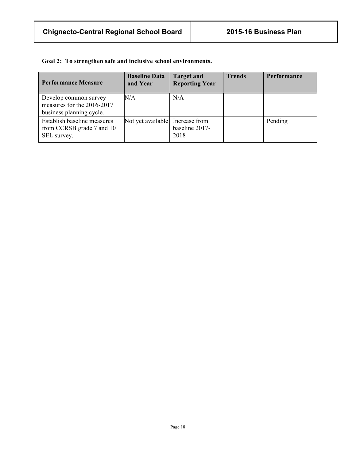|  |  |  |  | Goal 2: To strengthen safe and inclusive school environments. |
|--|--|--|--|---------------------------------------------------------------|
|--|--|--|--|---------------------------------------------------------------|

| <b>Performance Measure</b>                                                      | <b>Baseline Data</b><br>and Year | <b>Target and</b><br><b>Reporting Year</b> | <b>Trends</b> | <b>Performance</b> |
|---------------------------------------------------------------------------------|----------------------------------|--------------------------------------------|---------------|--------------------|
| Develop common survey<br>measures for the 2016-2017<br>business planning cycle. | $\rm N/A$                        | N/A                                        |               |                    |
| Establish baseline measures<br>from CCRSB grade 7 and 10<br>SEL survey.         | Not yet available Increase from  | baseline 2017-<br>2018                     |               | Pending            |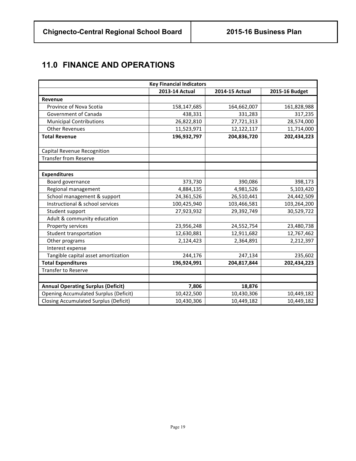# **11.0 FINANCE AND OPERATIONS**

| <b>Key Financial Indicators</b>              |                |                       |                |  |
|----------------------------------------------|----------------|-----------------------|----------------|--|
|                                              | 2013-14 Actual | <b>2014-15 Actual</b> | 2015-16 Budget |  |
| <b>Revenue</b>                               |                |                       |                |  |
| Province of Nova Scotia                      | 158,147,685    | 164,662,007           | 161,828,988    |  |
| Government of Canada                         | 438,331        | 331,283               | 317,235        |  |
| <b>Municipal Contributions</b>               | 26,822,810     | 27,721,313            | 28,574,000     |  |
| <b>Other Revenues</b>                        | 11,523,971     | 12,122,117            | 11,714,000     |  |
| <b>Total Revenue</b>                         | 196,932,797    | 204,836,720           | 202,434,223    |  |
|                                              |                |                       |                |  |
| Capital Revenue Recognition                  |                |                       |                |  |
| <b>Transfer from Reserve</b>                 |                |                       |                |  |
|                                              |                |                       |                |  |
| <b>Expenditures</b>                          |                |                       |                |  |
| Board governance                             | 373,730        | 390,086               | 398,173        |  |
| Regional management                          | 4,884,135      | 4,981,526             | 5,103,420      |  |
| School management & support                  | 24,361,526     | 26,510,441            | 24,442,509     |  |
| Instructional & school services              | 100,425,940    | 103,466,581           | 103,264,200    |  |
| Student support                              | 27,923,932     | 29,392,749            | 30,529,722     |  |
| Adult & community education                  |                |                       |                |  |
| Property services                            | 23,956,248     | 24,552,754            | 23,480,738     |  |
| Student transportation                       | 12,630,881     | 12,911,682            | 12,767,462     |  |
| Other programs                               | 2,124,423      | 2,364,891             | 2,212,397      |  |
| Interest expense                             |                |                       |                |  |
| Tangible capital asset amortization          | 244,176        | 247,134               | 235,602        |  |
| <b>Total Expenditures</b>                    | 196,924,991    | 204,817,844           | 202,434,223    |  |
| <b>Transfer to Reserve</b>                   |                |                       |                |  |
|                                              |                |                       |                |  |
| <b>Annual Operating Surplus (Deficit)</b>    | 7,806          | 18,876                |                |  |
| <b>Opening Accumulated Surplus (Deficit)</b> | 10,422,500     | 10,430,306            | 10,449,182     |  |
| <b>Closing Accumulated Surplus (Deficit)</b> | 10,430,306     | 10,449,182            | 10,449,182     |  |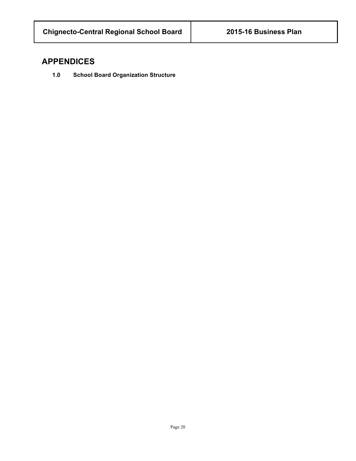### **APPENDICES**

**1.0 School Board Organization Structure**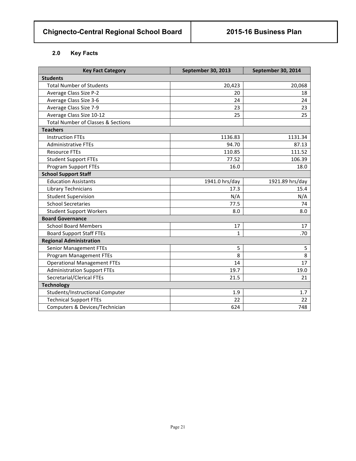### **2.0 Key Facts**

| <b>Key Fact Category</b>                      | September 30, 2013 | September 30, 2014 |
|-----------------------------------------------|--------------------|--------------------|
| <b>Students</b>                               |                    |                    |
| <b>Total Number of Students</b>               | 20,423             | 20,068             |
| Average Class Size P-2                        | 20                 | 18                 |
| Average Class Size 3-6                        | 24                 | 24                 |
| Average Class Size 7-9                        | 23                 | 23                 |
| Average Class Size 10-12                      | 25                 | 25                 |
| <b>Total Number of Classes &amp; Sections</b> |                    |                    |
| <b>Teachers</b>                               |                    |                    |
| <b>Instruction FTEs</b>                       | 1136.83            | 1131.34            |
| <b>Administrative FTEs</b>                    | 94.70              | 87.13              |
| <b>Resource FTEs</b>                          | 110.85             | 111.52             |
| <b>Student Support FTEs</b>                   | 77.52              | 106.39             |
| <b>Program Support FTEs</b>                   | 16.0               | 18.0               |
| <b>School Support Staff</b>                   |                    |                    |
| <b>Education Assistants</b>                   | 1941.0 hrs/day     | 1921.89 hrs/day    |
| Library Technicians                           | 17.3               | 15.4               |
| <b>Student Supervision</b>                    | N/A                | N/A                |
| <b>School Secretaries</b>                     | 77.5               | 74                 |
| <b>Student Support Workers</b>                | 8.0                | 8.0                |
| <b>Board Governance</b>                       |                    |                    |
| <b>School Board Members</b>                   | 17                 | 17                 |
| <b>Board Support Staff FTEs</b>               | 1                  | .70                |
| <b>Regional Administration</b>                |                    |                    |
| <b>Senior Management FTEs</b>                 | 5                  | 5                  |
| <b>Program Management FTEs</b>                | 8                  | 8                  |
| <b>Operational Management FTEs</b>            | 14                 | 17                 |
| <b>Administration Support FTEs</b>            | 19.7               | 19.0               |
| Secretarial/Clerical FTEs                     | 21.5               | 21                 |
| <b>Technology</b>                             |                    |                    |
| Students/Instructional Computer               | 1.9                | 1.7                |
| <b>Technical Support FTEs</b>                 | 22                 | 22                 |
| Computers & Devices/Technician                | 624                | 748                |